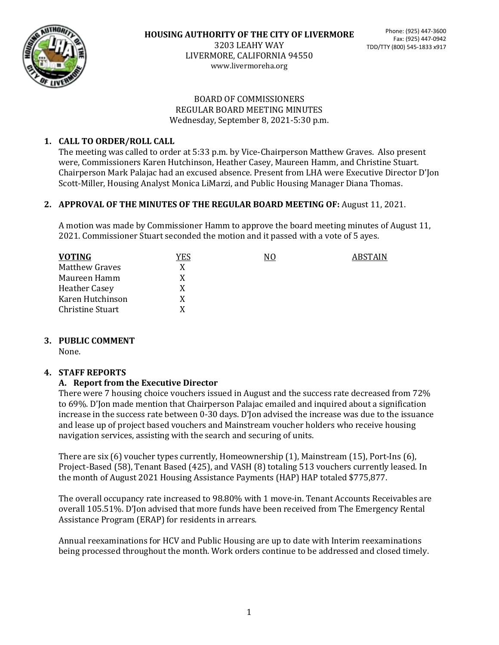

www.livermoreha.org

#### BOARD OF COMMISSIONERS REGULAR BOARD MEETING MINUTES Wednesday, September 8, 2021-5:30 p.m.

# **1. CALL TO ORDER/ROLL CALL**

The meeting was called to order at 5:33 p.m. by Vice-Chairperson Matthew Graves. Also present were, Commissioners Karen Hutchinson, Heather Casey, Maureen Hamm, and Christine Stuart. Chairperson Mark Palajac had an excused absence. Present from LHA were Executive Director D'Jon Scott-Miller, Housing Analyst Monica LiMarzi, and Public Housing Manager Diana Thomas.

#### **2. APPROVAL OF THE MINUTES OF THE REGULAR BOARD MEETING OF:** August 11, 2021.

A motion was made by Commissioner Hamm to approve the board meeting minutes of August 11, 2021. Commissioner Stuart seconded the motion and it passed with a vote of 5 ayes.

| <b>VOTING</b>           | YES | N0 | ABSTAIN |
|-------------------------|-----|----|---------|
| <b>Matthew Graves</b>   |     |    |         |
| Maureen Hamm            | X   |    |         |
| <b>Heather Casey</b>    | X   |    |         |
| Karen Hutchinson        | X   |    |         |
| <b>Christine Stuart</b> |     |    |         |

# **3. PUBLIC COMMENT**

None.

# **4. STAFF REPORTS**

# **A. Report from the Executive Director**

There were 7 housing choice vouchers issued in August and the success rate decreased from 72% to 69%. D'Jon made mention that Chairperson Palajac emailed and inquired about a signification increase in the success rate between 0-30 days. D'Jon advised the increase was due to the issuance and lease up of project based vouchers and Mainstream voucher holders who receive housing navigation services, assisting with the search and securing of units.

There are six (6) voucher types currently, Homeownership (1), Mainstream (15), Port-Ins (6), Project-Based (58), Tenant Based (425), and VASH (8) totaling 513 vouchers currently leased. In the month of August 2021 Housing Assistance Payments (HAP) HAP totaled \$775,877.

The overall occupancy rate increased to 98.80% with 1 move-in. Tenant Accounts Receivables are overall 105.51%. D'Jon advised that more funds have been received from The Emergency Rental Assistance Program (ERAP) for residents in arrears.

Annual reexaminations for HCV and Public Housing are up to date with Interim reexaminations being processed throughout the month. Work orders continue to be addressed and closed timely.